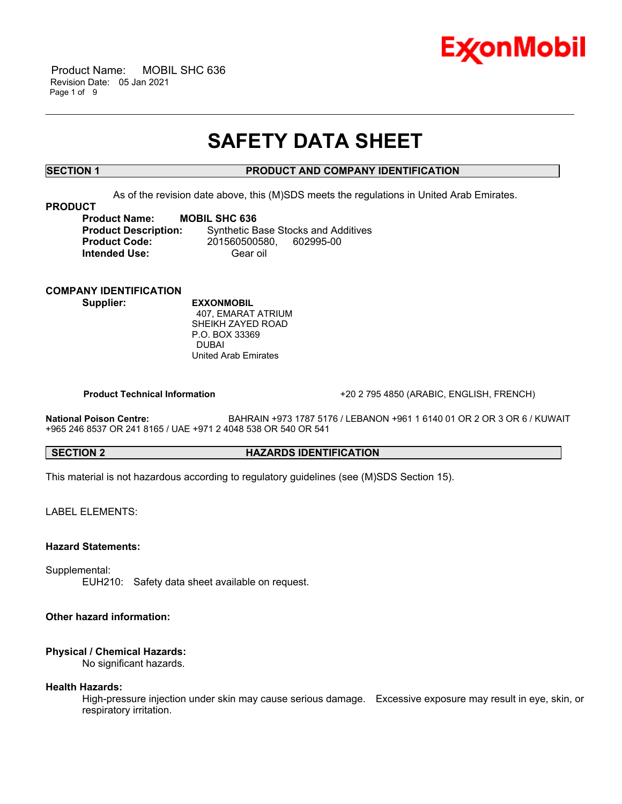

 Product Name: MOBIL SHC 636 Revision Date: 05 Jan 2021 Page 1 of 9

# **SAFETY DATA SHEET**

\_\_\_\_\_\_\_\_\_\_\_\_\_\_\_\_\_\_\_\_\_\_\_\_\_\_\_\_\_\_\_\_\_\_\_\_\_\_\_\_\_\_\_\_\_\_\_\_\_\_\_\_\_\_\_\_\_\_\_\_\_\_\_\_\_\_\_\_\_\_\_\_\_\_\_\_\_\_\_\_\_\_\_\_\_\_\_\_\_\_\_\_\_\_\_\_\_\_\_\_\_\_\_\_\_\_\_\_\_\_\_\_\_\_\_\_\_

### **SECTION 1 PRODUCT AND COMPANY IDENTIFICATION**

As of the revision date above, this (M)SDS meets the regulations in United Arab Emirates.

#### **PRODUCT**

**Product Name:** MOBIL SHC 636<br>**Product Description:** Synthetic B **Synthetic Base Stocks and Additives Product Code:** 201560500580, 602995-00 **Intended Use:** Gear oil

## **COMPANY IDENTIFICATION**

**Supplier: EXXONMOBIL** 407, EMARAT ATRIUM SHEIKH ZAYED ROAD P.O. BOX 33369 DUBAI United Arab Emirates

 **Product Technical Information** +20 2 795 4850 (ARABIC, ENGLISH, FRENCH)

**National Poison Centre:** BAHRAIN +973 1787 5176 / LEBANON +961 1 6140 01 OR 2 OR 3 OR 6 / KUWAIT +965 246 8537 OR 241 8165 / UAE +971 2 4048 538 OR 540 OR 541

### **SECTION 2 HAZARDS IDENTIFICATION**

This material is not hazardous according to regulatory guidelines (see (M)SDS Section 15).

LABEL ELEMENTS:

#### **Hazard Statements:**

Supplemental:

EUH210: Safety data sheet available on request.

### **Other hazard information:**

#### **Physical / Chemical Hazards:**

No significant hazards.

#### **Health Hazards:**

High-pressure injection under skin may cause serious damage. Excessive exposure may result in eye, skin, or respiratory irritation.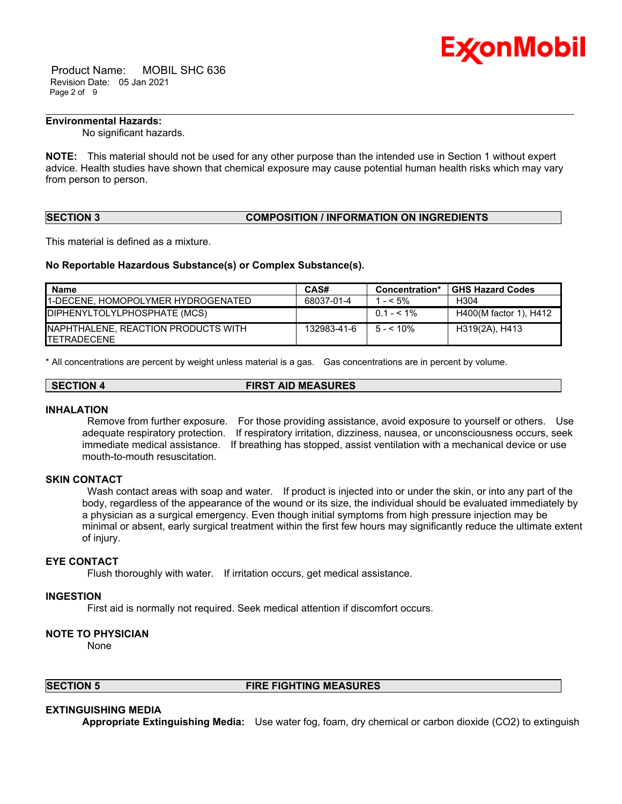

 Product Name: MOBIL SHC 636 Revision Date: 05 Jan 2021 Page 2 of 9

### **Environmental Hazards:**

No significant hazards.

**NOTE:** This material should not be used for any other purpose than the intended use in Section 1 without expert advice. Health studies have shown that chemical exposure may cause potential human health risks which may vary from person to person.

\_\_\_\_\_\_\_\_\_\_\_\_\_\_\_\_\_\_\_\_\_\_\_\_\_\_\_\_\_\_\_\_\_\_\_\_\_\_\_\_\_\_\_\_\_\_\_\_\_\_\_\_\_\_\_\_\_\_\_\_\_\_\_\_\_\_\_\_\_\_\_\_\_\_\_\_\_\_\_\_\_\_\_\_\_\_\_\_\_\_\_\_\_\_\_\_\_\_\_\_\_\_\_\_\_\_\_\_\_\_\_\_\_\_\_\_\_

### **SECTION 3 COMPOSITION / INFORMATION ON INGREDIENTS**

This material is defined as a mixture.

#### **No Reportable Hazardous Substance(s) or Complex Substance(s).**

| Name                                                        | CAS#        | Concentration* | <b>GHS Hazard Codes</b> |
|-------------------------------------------------------------|-------------|----------------|-------------------------|
| <b>11-DECENE. HOMOPOLYMER HYDROGENATED</b>                  | 68037-01-4  | $- < 5\%$      | H304                    |
| DIPHENYLTOLYLPHOSPHATE (MCS)                                |             | $0.1 - 5.1\%$  | H400(M factor 1), H412  |
| INAPHTHALENE, REACTION PRODUCTS WITH<br><b>ITETRADECENE</b> | 132983-41-6 | $5 - 5 < 10\%$ | H319(2A), H413          |

\* All concentrations are percent by weight unless material is a gas. Gas concentrations are in percent by volume.

| <b>SECTION 4</b> | <b>FIRST AID MEASURES</b> |
|------------------|---------------------------|

#### **INHALATION**

 Remove from further exposure. For those providing assistance, avoid exposure to yourself or others. Use adequate respiratory protection. If respiratory irritation, dizziness, nausea, or unconsciousness occurs, seek immediate medical assistance. If breathing has stopped, assist ventilation with a mechanical device or use mouth-to-mouth resuscitation.

### **SKIN CONTACT**

Wash contact areas with soap and water. If product is injected into or under the skin, or into any part of the body, regardless of the appearance of the wound or its size, the individual should be evaluated immediately by a physician as a surgical emergency. Even though initial symptoms from high pressure injection may be minimal or absent, early surgical treatment within the first few hours may significantly reduce the ultimate extent of injury.

#### **EYE CONTACT**

Flush thoroughly with water. If irritation occurs, get medical assistance.

#### **INGESTION**

First aid is normally not required. Seek medical attention if discomfort occurs.

#### **NOTE TO PHYSICIAN**

None

### **SECTION 5 FIRE FIGHTING MEASURES**

#### **EXTINGUISHING MEDIA**

**Appropriate Extinguishing Media:** Use water fog, foam, dry chemical or carbon dioxide (CO2) to extinguish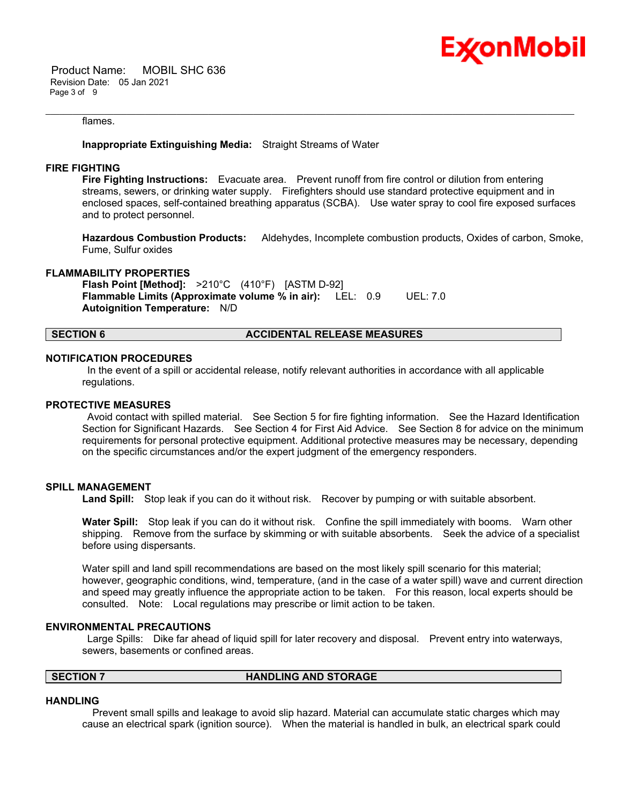

 Product Name: MOBIL SHC 636 Revision Date: 05 Jan 2021 Page 3 of 9

#### flames.

#### **Inappropriate Extinguishing Media:** Straight Streams of Water

#### **FIRE FIGHTING**

**Fire Fighting Instructions:** Evacuate area. Prevent runoff from fire control or dilution from entering streams, sewers, or drinking water supply. Firefighters should use standard protective equipment and in enclosed spaces, self-contained breathing apparatus (SCBA). Use water spray to cool fire exposed surfaces and to protect personnel.

\_\_\_\_\_\_\_\_\_\_\_\_\_\_\_\_\_\_\_\_\_\_\_\_\_\_\_\_\_\_\_\_\_\_\_\_\_\_\_\_\_\_\_\_\_\_\_\_\_\_\_\_\_\_\_\_\_\_\_\_\_\_\_\_\_\_\_\_\_\_\_\_\_\_\_\_\_\_\_\_\_\_\_\_\_\_\_\_\_\_\_\_\_\_\_\_\_\_\_\_\_\_\_\_\_\_\_\_\_\_\_\_\_\_\_\_\_

**Hazardous Combustion Products:** Aldehydes, Incomplete combustion products, Oxides of carbon, Smoke, Fume, Sulfur oxides

#### **FLAMMABILITY PROPERTIES**

**Flash Point [Method]:** >210°C (410°F) [ASTM D-92] **Flammable Limits (Approximate volume % in air):** LEL: 0.9 UEL: 7.0 **Autoignition Temperature:** N/D

#### **SECTION 6 ACCIDENTAL RELEASE MEASURES**

#### **NOTIFICATION PROCEDURES**

 In the event of a spill or accidental release, notify relevant authorities in accordance with all applicable regulations.

#### **PROTECTIVE MEASURES**

 Avoid contact with spilled material. See Section 5 for fire fighting information. See the Hazard Identification Section for Significant Hazards. See Section 4 for First Aid Advice. See Section 8 for advice on the minimum requirements for personal protective equipment. Additional protective measures may be necessary, depending on the specific circumstances and/or the expert judgment of the emergency responders.

#### **SPILL MANAGEMENT**

Land Spill: Stop leak if you can do it without risk. Recover by pumping or with suitable absorbent.

**Water Spill:** Stop leak if you can do it without risk. Confine the spill immediately with booms. Warn other shipping. Remove from the surface by skimming or with suitable absorbents. Seek the advice of a specialist before using dispersants.

Water spill and land spill recommendations are based on the most likely spill scenario for this material; however, geographic conditions, wind, temperature, (and in the case of a water spill) wave and current direction and speed may greatly influence the appropriate action to be taken. For this reason, local experts should be consulted. Note: Local regulations may prescribe or limit action to be taken.

#### **ENVIRONMENTAL PRECAUTIONS**

 Large Spills: Dike far ahead of liquid spill for later recovery and disposal. Prevent entry into waterways, sewers, basements or confined areas.

### **SECTION 7 HANDLING AND STORAGE**

#### **HANDLING**

 Prevent small spills and leakage to avoid slip hazard. Material can accumulate static charges which may cause an electrical spark (ignition source). When the material is handled in bulk, an electrical spark could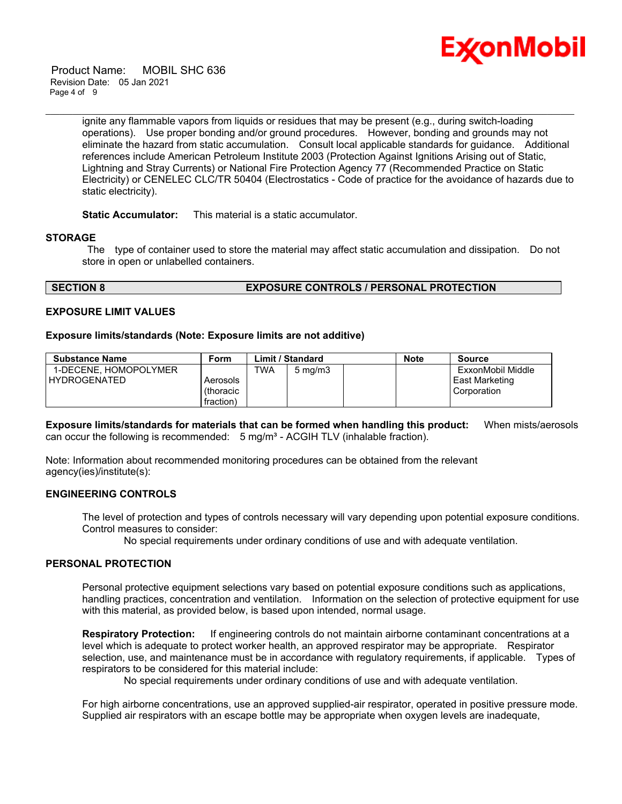

 Product Name: MOBIL SHC 636 Revision Date: 05 Jan 2021 Page 4 of 9

> ignite any flammable vapors from liquids or residues that may be present (e.g., during switch-loading operations). Use proper bonding and/or ground procedures. However, bonding and grounds may not eliminate the hazard from static accumulation. Consult local applicable standards for guidance. Additional references include American Petroleum Institute 2003 (Protection Against Ignitions Arising out of Static, Lightning and Stray Currents) or National Fire Protection Agency 77 (Recommended Practice on Static Electricity) or CENELEC CLC/TR 50404 (Electrostatics - Code of practice for the avoidance of hazards due to static electricity).

\_\_\_\_\_\_\_\_\_\_\_\_\_\_\_\_\_\_\_\_\_\_\_\_\_\_\_\_\_\_\_\_\_\_\_\_\_\_\_\_\_\_\_\_\_\_\_\_\_\_\_\_\_\_\_\_\_\_\_\_\_\_\_\_\_\_\_\_\_\_\_\_\_\_\_\_\_\_\_\_\_\_\_\_\_\_\_\_\_\_\_\_\_\_\_\_\_\_\_\_\_\_\_\_\_\_\_\_\_\_\_\_\_\_\_\_\_

**Static Accumulator:** This material is a static accumulator.

#### **STORAGE**

 The type of container used to store the material may affect static accumulation and dissipation. Do not store in open or unlabelled containers.

#### **SECTION 8 EXPOSURE CONTROLS / PERSONAL PROTECTION**

#### **EXPOSURE LIMIT VALUES**

#### **Exposure limits/standards (Note: Exposure limits are not additive)**

| <b>Substance Name</b> | Form      |            | <b>Limit / Standard</b> | <b>Note</b> | Source            |
|-----------------------|-----------|------------|-------------------------|-------------|-------------------|
| 1-DECENE. HOMOPOLYMER |           | <b>TWA</b> | $5 \text{ mg/m}$        |             | ExxonMobil Middle |
| <b>HYDROGENATED</b>   | Aerosols  |            |                         |             | East Marketing    |
|                       | (thoracic |            |                         |             | Corporation       |
|                       | fraction) |            |                         |             |                   |

**Exposure limits/standards for materials that can be formed when handling this product:** When mists/aerosols can occur the following is recommended:  $5 \text{ mg/m}^3$  - ACGIH TLV (inhalable fraction).

Note: Information about recommended monitoring procedures can be obtained from the relevant agency(ies)/institute(s):

#### **ENGINEERING CONTROLS**

The level of protection and types of controls necessary will vary depending upon potential exposure conditions. Control measures to consider:

No special requirements under ordinary conditions of use and with adequate ventilation.

#### **PERSONAL PROTECTION**

Personal protective equipment selections vary based on potential exposure conditions such as applications, handling practices, concentration and ventilation. Information on the selection of protective equipment for use with this material, as provided below, is based upon intended, normal usage.

**Respiratory Protection:** If engineering controls do not maintain airborne contaminant concentrations at a level which is adequate to protect worker health, an approved respirator may be appropriate. Respirator selection, use, and maintenance must be in accordance with regulatory requirements, if applicable. Types of respirators to be considered for this material include:

No special requirements under ordinary conditions of use and with adequate ventilation.

For high airborne concentrations, use an approved supplied-air respirator, operated in positive pressure mode. Supplied air respirators with an escape bottle may be appropriate when oxygen levels are inadequate,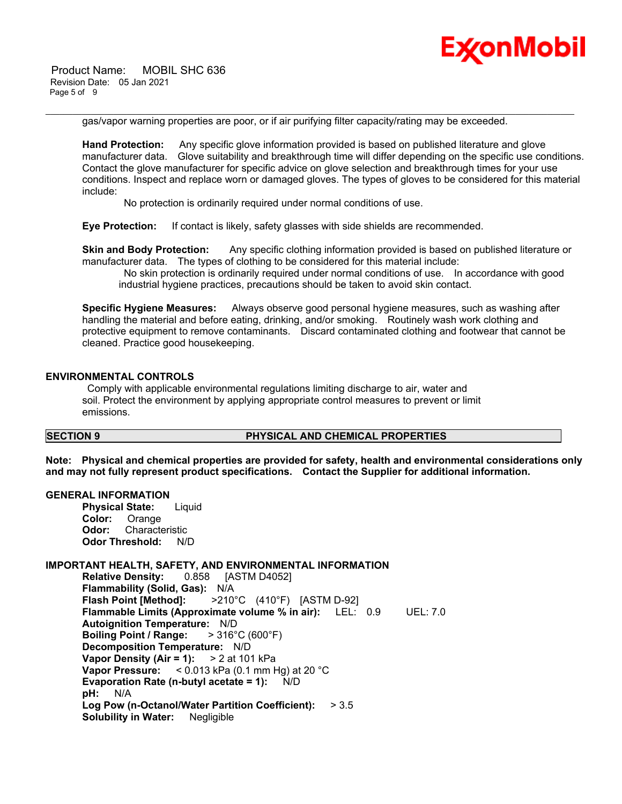

 Product Name: MOBIL SHC 636 Revision Date: 05 Jan 2021 Page 5 of 9

gas/vapor warning properties are poor, or if air purifying filter capacity/rating may be exceeded.

\_\_\_\_\_\_\_\_\_\_\_\_\_\_\_\_\_\_\_\_\_\_\_\_\_\_\_\_\_\_\_\_\_\_\_\_\_\_\_\_\_\_\_\_\_\_\_\_\_\_\_\_\_\_\_\_\_\_\_\_\_\_\_\_\_\_\_\_\_\_\_\_\_\_\_\_\_\_\_\_\_\_\_\_\_\_\_\_\_\_\_\_\_\_\_\_\_\_\_\_\_\_\_\_\_\_\_\_\_\_\_\_\_\_\_\_\_

**Hand Protection:** Any specific glove information provided is based on published literature and glove manufacturer data. Glove suitability and breakthrough time will differ depending on the specific use conditions. Contact the glove manufacturer for specific advice on glove selection and breakthrough times for your use conditions. Inspect and replace worn or damaged gloves. The types of gloves to be considered for this material include:

No protection is ordinarily required under normal conditions of use.

**Eye Protection:** If contact is likely, safety glasses with side shields are recommended.

**Skin and Body Protection:** Any specific clothing information provided is based on published literature or manufacturer data. The types of clothing to be considered for this material include:

 No skin protection is ordinarily required under normal conditions of use. In accordance with good industrial hygiene practices, precautions should be taken to avoid skin contact.

**Specific Hygiene Measures:** Always observe good personal hygiene measures, such as washing after handling the material and before eating, drinking, and/or smoking. Routinely wash work clothing and protective equipment to remove contaminants. Discard contaminated clothing and footwear that cannot be cleaned. Practice good housekeeping.

#### **ENVIRONMENTAL CONTROLS**

 Comply with applicable environmental regulations limiting discharge to air, water and soil. Protect the environment by applying appropriate control measures to prevent or limit emissions.

#### **SECTION 9 PHYSICAL AND CHEMICAL PROPERTIES**

**Note: Physical and chemical properties are provided for safety, health and environmental considerations only and may not fully represent product specifications. Contact the Supplier for additional information.**

#### **GENERAL INFORMATION**

**Physical State:** Liquid **Color:** Orange **Odor:** Characteristic **Odor Threshold:** N/D

#### **IMPORTANT HEALTH, SAFETY, AND ENVIRONMENTAL INFORMATION**

**Relative Density:** 0.858 [ASTM D4052] **Flammability (Solid, Gas):** N/A **Flash Point [Method]:** >210°C (410°F) [ASTM D-92] **Flammable Limits (Approximate volume % in air):** LEL: 0.9 UEL: 7.0 **Autoignition Temperature:** N/D **Boiling Point / Range:** > 316°C (600°F) **Decomposition Temperature:** N/D **Vapor Density (Air = 1):** > 2 at 101 kPa **Vapor Pressure:** < 0.013 kPa (0.1 mm Hg) at 20 °C **Evaporation Rate (n-butyl acetate = 1):** N/D **pH:** N/A **Log Pow (n-Octanol/Water Partition Coefficient):** > 3.5 **Solubility in Water:** Negligible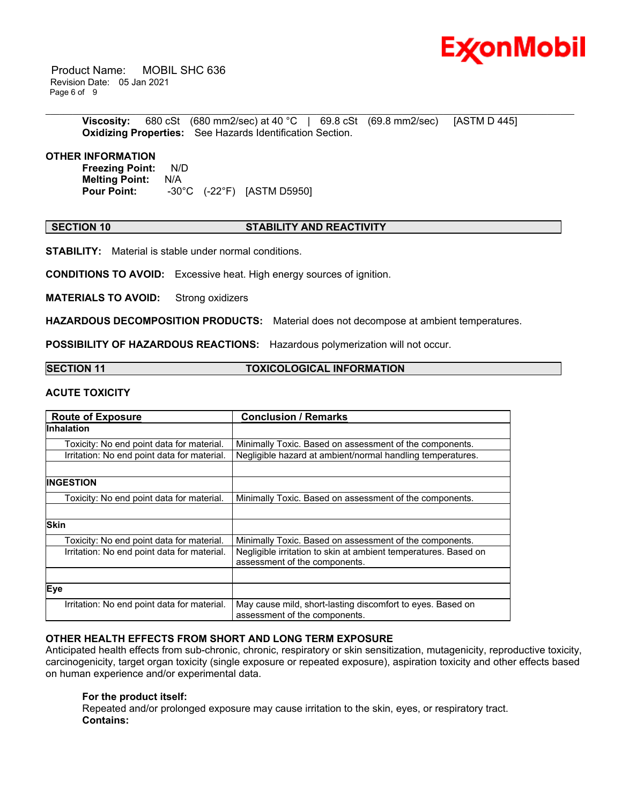

 Product Name: MOBIL SHC 636 Revision Date: 05 Jan 2021 Page 6 of 9

> **Viscosity:** 680 cSt (680 mm2/sec) at 40 °C | 69.8 cSt (69.8 mm2/sec) [ASTM D 445] **Oxidizing Properties:** See Hazards Identification Section.

\_\_\_\_\_\_\_\_\_\_\_\_\_\_\_\_\_\_\_\_\_\_\_\_\_\_\_\_\_\_\_\_\_\_\_\_\_\_\_\_\_\_\_\_\_\_\_\_\_\_\_\_\_\_\_\_\_\_\_\_\_\_\_\_\_\_\_\_\_\_\_\_\_\_\_\_\_\_\_\_\_\_\_\_\_\_\_\_\_\_\_\_\_\_\_\_\_\_\_\_\_\_\_\_\_\_\_\_\_\_\_\_\_\_\_\_\_

#### **OTHER INFORMATION**

**Freezing Point:** N/D **Melting Point: N/A<br>Pour Point: -30° Pour Point:** -30°C (-22°F) [ASTM D5950]

#### **SECTION 10 STABILITY AND REACTIVITY**

**STABILITY:** Material is stable under normal conditions.

**CONDITIONS TO AVOID:** Excessive heat. High energy sources of ignition.

**MATERIALS TO AVOID:** Strong oxidizers

**HAZARDOUS DECOMPOSITION PRODUCTS:** Material does not decompose at ambient temperatures.

**POSSIBILITY OF HAZARDOUS REACTIONS:** Hazardous polymerization will not occur.

#### **SECTION 11 TOXICOLOGICAL INFORMATION**

### **ACUTE TOXICITY**

| <b>Route of Exposure</b>                    | <b>Conclusion / Remarks</b>                                                                      |
|---------------------------------------------|--------------------------------------------------------------------------------------------------|
| <b>Inhalation</b>                           |                                                                                                  |
| Toxicity: No end point data for material.   | Minimally Toxic. Based on assessment of the components.                                          |
| Irritation: No end point data for material. | Negligible hazard at ambient/normal handling temperatures.                                       |
|                                             |                                                                                                  |
| <b>INGESTION</b>                            |                                                                                                  |
| Toxicity: No end point data for material.   | Minimally Toxic. Based on assessment of the components.                                          |
|                                             |                                                                                                  |
| <b>Skin</b>                                 |                                                                                                  |
| Toxicity: No end point data for material.   | Minimally Toxic. Based on assessment of the components.                                          |
| Irritation: No end point data for material. | Negligible irritation to skin at ambient temperatures. Based on<br>assessment of the components. |
|                                             |                                                                                                  |
| Eye                                         |                                                                                                  |
| Irritation: No end point data for material. | May cause mild, short-lasting discomfort to eyes. Based on<br>assessment of the components.      |

#### **OTHER HEALTH EFFECTS FROM SHORT AND LONG TERM EXPOSURE**

Anticipated health effects from sub-chronic, chronic, respiratory or skin sensitization, mutagenicity, reproductive toxicity, carcinogenicity, target organ toxicity (single exposure or repeated exposure), aspiration toxicity and other effects based on human experience and/or experimental data.

#### **For the product itself:**

Repeated and/or prolonged exposure may cause irritation to the skin, eyes, or respiratory tract. **Contains:**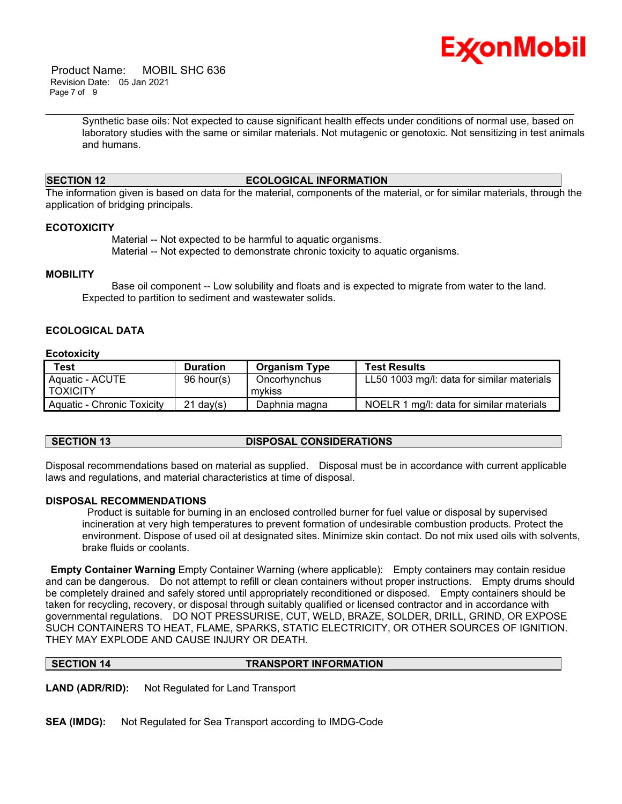

 Product Name: MOBIL SHC 636 Revision Date: 05 Jan 2021 Page 7 of 9

> Synthetic base oils: Not expected to cause significant health effects under conditions of normal use, based on laboratory studies with the same or similar materials. Not mutagenic or genotoxic. Not sensitizing in test animals and humans.

### **SECTION 12 ECOLOGICAL INFORMATION**

\_\_\_\_\_\_\_\_\_\_\_\_\_\_\_\_\_\_\_\_\_\_\_\_\_\_\_\_\_\_\_\_\_\_\_\_\_\_\_\_\_\_\_\_\_\_\_\_\_\_\_\_\_\_\_\_\_\_\_\_\_\_\_\_\_\_\_\_\_\_\_\_\_\_\_\_\_\_\_\_\_\_\_\_\_\_\_\_\_\_\_\_\_\_\_\_\_\_\_\_\_\_\_\_\_\_\_\_\_\_\_\_\_\_\_\_\_

The information given is based on data for the material, components of the material, or for similar materials, through the application of bridging principals.

#### **ECOTOXICITY**

 Material -- Not expected to be harmful to aquatic organisms. Material -- Not expected to demonstrate chronic toxicity to aquatic organisms.

#### **MOBILITY**

 Base oil component -- Low solubility and floats and is expected to migrate from water to the land. Expected to partition to sediment and wastewater solids.

### **ECOLOGICAL DATA**

#### **Ecotoxicity**

| Test                       | <b>Duration</b> | <b>Organism Type</b> | <b>Test Results</b>                        |
|----------------------------|-----------------|----------------------|--------------------------------------------|
| Aquatic - ACUTE            | 96 hour(s)      | Oncorhynchus         | LL50 1003 mg/l: data for similar materials |
| I TOXICITY                 |                 | mvkiss               |                                            |
| Aquatic - Chronic Toxicity | $21$ dav $(s)$  | Daphnia magna        | NOELR 1 mg/l: data for similar materials   |

### **SECTION 13 DISPOSAL CONSIDERATIONS**

Disposal recommendations based on material as supplied. Disposal must be in accordance with current applicable laws and regulations, and material characteristics at time of disposal.

#### **DISPOSAL RECOMMENDATIONS**

 Product is suitable for burning in an enclosed controlled burner for fuel value or disposal by supervised incineration at very high temperatures to prevent formation of undesirable combustion products. Protect the environment. Dispose of used oil at designated sites. Minimize skin contact. Do not mix used oils with solvents, brake fluids or coolants.

**Empty Container Warning** Empty Container Warning (where applicable): Empty containers may contain residue and can be dangerous. Do not attempt to refill or clean containers without proper instructions. Empty drums should be completely drained and safely stored until appropriately reconditioned or disposed. Empty containers should be taken for recycling, recovery, or disposal through suitably qualified or licensed contractor and in accordance with governmental regulations. DO NOT PRESSURISE, CUT, WELD, BRAZE, SOLDER, DRILL, GRIND, OR EXPOSE SUCH CONTAINERS TO HEAT, FLAME, SPARKS, STATIC ELECTRICITY, OR OTHER SOURCES OF IGNITION. THEY MAY EXPLODE AND CAUSE INJURY OR DEATH.

**SECTION 14 TRANSPORT INFORMATION** 

**LAND (ADR/RID):** Not Regulated for Land Transport

**SEA (IMDG):** Not Regulated for Sea Transport according to IMDG-Code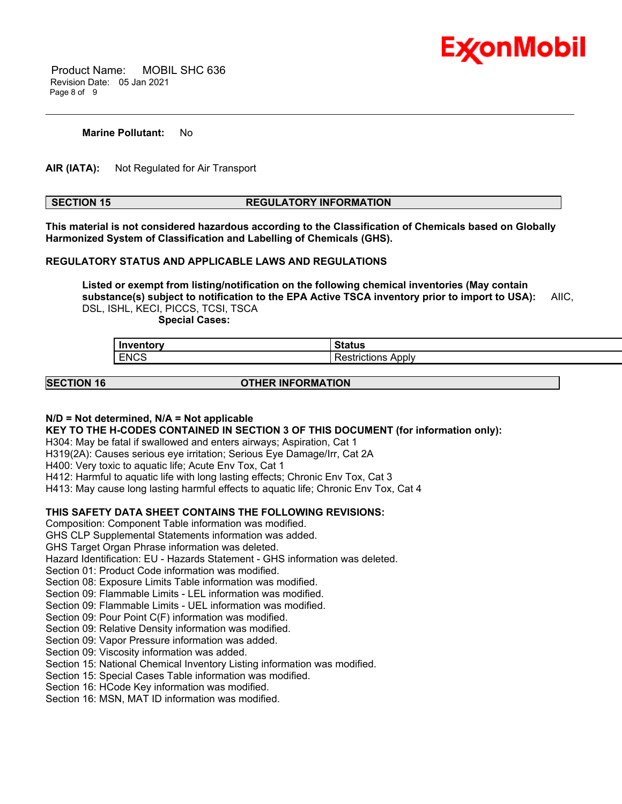

 Product Name: MOBIL SHC 636 Revision Date: 05 Jan 2021 Page 8 of 9

#### **Marine Pollutant:** No

**AIR (IATA):** Not Regulated for Air Transport

### **SECTION 15 REGULATORY INFORMATION**

\_\_\_\_\_\_\_\_\_\_\_\_\_\_\_\_\_\_\_\_\_\_\_\_\_\_\_\_\_\_\_\_\_\_\_\_\_\_\_\_\_\_\_\_\_\_\_\_\_\_\_\_\_\_\_\_\_\_\_\_\_\_\_\_\_\_\_\_\_\_\_\_\_\_\_\_\_\_\_\_\_\_\_\_\_\_\_\_\_\_\_\_\_\_\_\_\_\_\_\_\_\_\_\_\_\_\_\_\_\_\_\_\_\_\_\_\_

**This material is not considered hazardous according to the Classification of Chemicals based on Globally Harmonized System of Classification and Labelling of Chemicals (GHS).**

#### **REGULATORY STATUS AND APPLICABLE LAWS AND REGULATIONS**

**Listed or exempt from listing/notification on the following chemical inventories (May contain substance(s) subject to notification to the EPA Active TSCA inventory prior to import to USA):** AIIC, DSL, ISHL, KECI, PICCS, TCSI, TSCA

 **Special Cases:**

| Inventory   | Status                           |
|-------------|----------------------------------|
| <b>ENCS</b> | Apply<br>.<br>rictions:<br>kesti |

**SECTION 16 OTHER INFORMATION**

#### **N/D = Not determined, N/A = Not applicable**

**KEY TO THE H-CODES CONTAINED IN SECTION 3 OF THIS DOCUMENT (for information only):**

H304: May be fatal if swallowed and enters airways; Aspiration, Cat 1

H319(2A): Causes serious eye irritation; Serious Eye Damage/Irr, Cat 2A

H400: Very toxic to aquatic life; Acute Env Tox, Cat 1

H412: Harmful to aquatic life with long lasting effects; Chronic Env Tox, Cat 3

H413: May cause long lasting harmful effects to aquatic life; Chronic Env Tox, Cat 4

#### **THIS SAFETY DATA SHEET CONTAINS THE FOLLOWING REVISIONS:**

Composition: Component Table information was modified.

GHS CLP Supplemental Statements information was added.

GHS Target Organ Phrase information was deleted.

Hazard Identification: EU - Hazards Statement - GHS information was deleted.

Section 01: Product Code information was modified.

Section 08: Exposure Limits Table information was modified.

Section 09: Flammable Limits - LEL information was modified.

Section 09: Flammable Limits - UEL information was modified.

Section 09: Pour Point C(F) information was modified.

Section 09: Relative Density information was modified.

Section 09: Vapor Pressure information was added.

Section 09: Viscosity information was added.

Section 15: National Chemical Inventory Listing information was modified.

Section 15: Special Cases Table information was modified.

Section 16: HCode Key information was modified.

Section 16: MSN, MAT ID information was modified.